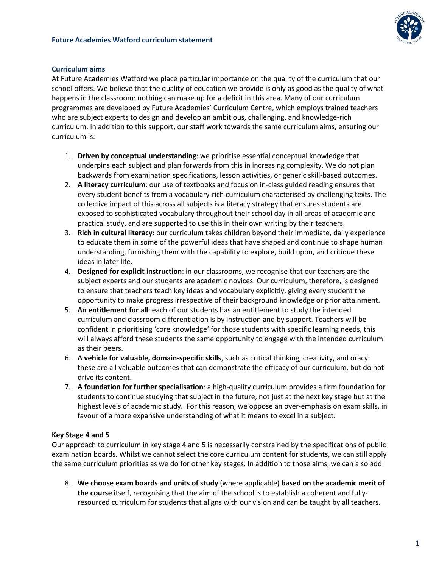



## **Curriculum aims**

At Future Academies Watford we place particular importance on the quality of the curriculum that our school offers. We believe that the quality of education we provide is only as good as the quality of what happens in the classroom: nothing can make up for a deficit in this area. Many of our curriculum programmes are developed by Future Academies' Curriculum Centre, which employs trained teachers who are subject experts to design and develop an ambitious, challenging, and knowledge-rich curriculum. In addition to this support, our staff work towards the same curriculum aims, ensuring our curriculum is:

- 1. **Driven by conceptual understanding**: we prioritise essential conceptual knowledge that underpins each subject and plan forwards from this in increasing complexity. We do not plan backwards from examination specifications, lesson activities, or generic skill-based outcomes.
- 2. **A literacy curriculum**: our use of textbooks and focus on in-class guided reading ensures that every student benefits from a vocabulary-rich curriculum characterised by challenging texts. The collective impact of this across all subjects is a literacy strategy that ensures students are exposed to sophisticated vocabulary throughout their school day in all areas of academic and practical study, and are supported to use this in their own writing by their teachers.
- 3. **Rich in cultural literacy**: our curriculum takes children beyond their immediate, daily experience to educate them in some of the powerful ideas that have shaped and continue to shape human understanding, furnishing them with the capability to explore, build upon, and critique these ideas in later life.
- 4. **Designed for explicit instruction**: in our classrooms, we recognise that our teachers are the subject experts and our students are academic novices. Our curriculum, therefore, is designed to ensure that teachers teach key ideas and vocabulary explicitly, giving every student the opportunity to make progress irrespective of their background knowledge or prior attainment.
- 5. **An entitlement for all**: each of our students has an entitlement to study the intended curriculum and classroom differentiation is by instruction and by support. Teachers will be confident in prioritising 'core knowledge' for those students with specific learning needs, this will always afford these students the same opportunity to engage with the intended curriculum as their peers.
- 6. **A vehicle for valuable, domain-specific skills**, such as critical thinking, creativity, and oracy: these are all valuable outcomes that can demonstrate the efficacy of our curriculum, but do not drive its content.
- 7. **A foundation for further specialisation**: a high-quality curriculum provides a firm foundation for students to continue studying that subject in the future, not just at the next key stage but at the highest levels of academic study. For this reason, we oppose an over-emphasis on exam skills, in favour of a more expansive understanding of what it means to excel in a subject.

## **Key Stage 4 and 5**

Our approach to curriculum in key stage 4 and 5 is necessarily constrained by the specifications of public examination boards. Whilst we cannot select the core curriculum content for students, we can still apply the same curriculum priorities as we do for other key stages. In addition to those aims, we can also add:

8. **We choose exam boards and units of study** (where applicable) **based on the academic merit of the course** itself, recognising that the aim of the school is to establish a coherent and fullyresourced curriculum for students that aligns with our vision and can be taught by all teachers.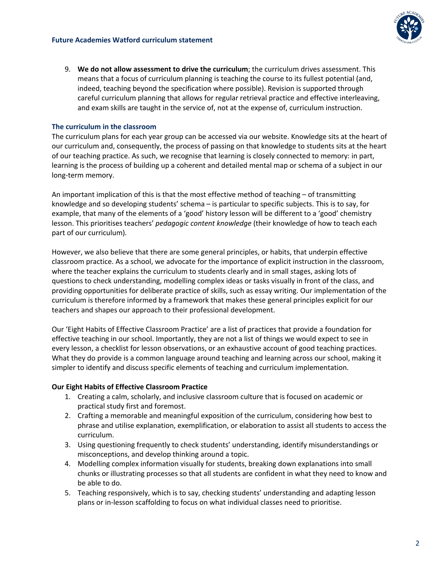

9. **We do not allow assessment to drive the curriculum**; the curriculum drives assessment. This means that a focus of curriculum planning is teaching the course to its fullest potential (and, indeed, teaching beyond the specification where possible). Revision is supported through careful curriculum planning that allows for regular retrieval practice and effective interleaving, and exam skills are taught in the service of, not at the expense of, curriculum instruction.

# **The curriculum in the classroom**

The curriculum plans for each year group can be accessed via our website. Knowledge sits at the heart of our curriculum and, consequently, the process of passing on that knowledge to students sits at the heart of our teaching practice. As such, we recognise that learning is closely connected to memory: in part, learning is the process of building up a coherent and detailed mental map or schema of a subject in our long-term memory.

An important implication of this is that the most effective method of teaching – of transmitting knowledge and so developing students' schema – is particular to specific subjects. This is to say, for example, that many of the elements of a 'good' history lesson will be different to a 'good' chemistry lesson. This prioritises teachers' *pedagogic content knowledge* (their knowledge of how to teach each part of our curriculum)*.* 

However, we also believe that there are some general principles, or habits, that underpin effective classroom practice. As a school, we advocate for the importance of explicit instruction in the classroom, where the teacher explains the curriculum to students clearly and in small stages, asking lots of questions to check understanding, modelling complex ideas or tasks visually in front of the class, and providing opportunities for deliberate practice of skills, such as essay writing. Our implementation of the curriculum is therefore informed by a framework that makes these general principles explicit for our teachers and shapes our approach to their professional development.

Our 'Eight Habits of Effective Classroom Practice' are a list of practices that provide a foundation for effective teaching in our school. Importantly, they are not a list of things we would expect to see in every lesson, a checklist for lesson observations, or an exhaustive account of good teaching practices. What they do provide is a common language around teaching and learning across our school, making it simpler to identify and discuss specific elements of teaching and curriculum implementation.

## **Our Eight Habits of Effective Classroom Practice**

- 1. Creating a calm, scholarly, and inclusive classroom culture that is focused on academic or practical study first and foremost.
- 2. Crafting a memorable and meaningful exposition of the curriculum, considering how best to phrase and utilise explanation, exemplification, or elaboration to assist all students to access the curriculum.
- 3. Using questioning frequently to check students' understanding, identify misunderstandings or misconceptions, and develop thinking around a topic.
- 4. Modelling complex information visually for students, breaking down explanations into small chunks or illustrating processes so that all students are confident in what they need to know and be able to do.
- 5. Teaching responsively, which is to say, checking students' understanding and adapting lesson plans or in-lesson scaffolding to focus on what individual classes need to prioritise.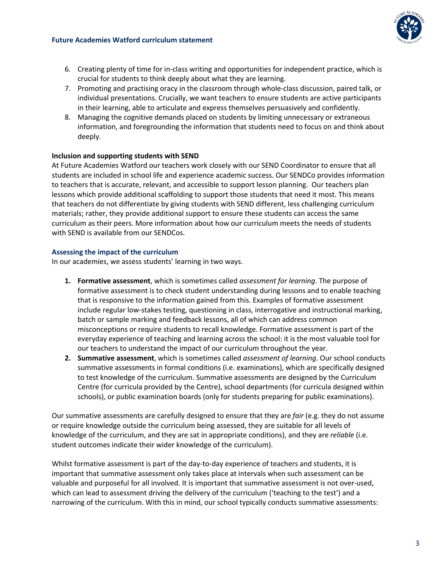#### **Future Academies Watford curriculum statement**



- 6. Creating plenty of time for in-class writing and opportunities for independent practice, which is crucial for students to think deeply about what they are learning.
- 7. Promoting and practising oracy in the classroom through whole-class discussion, paired talk, or individual presentations. Crucially, we want teachers to ensure students are active participants in their learning, able to articulate and express themselves persuasively and confidently.
- 8. Managing the cognitive demands placed on students by limiting unnecessary or extraneous information, and foregrounding the information that students need to focus on and think about deeply.

# **Inclusion and supporting students with SEND**

At Future Academies Watford our teachers work closely with our SEND Coordinator to ensure that all students are included in school life and experience academic success. Our SENDCo provides information to teachers that is accurate, relevant, and accessible to support lesson planning. Our teachers plan lessons which provide additional scaffolding to support those students that need it most. This means that teachers do not differentiate by giving students with SEND different, less challenging curriculum materials; rather, they provide additional support to ensure these students can access the same curriculum as their peers. More information about how our curriculum meets the needs of students with SEND is available from our SENDCos.

# **Assessing the impact of the curriculum**

In our academies, we assess students' learning in two ways.

- **1. Formative assessment**, which is sometimes called *assessment for learning*. The purpose of formative assessment is to check student understanding during lessons and to enable teaching that is responsive to the information gained from this. Examples of formative assessment include regular low-stakes testing, questioning in class, interrogative and instructional marking, batch or sample marking and feedback lessons, all of which can address common misconceptions or require students to recall knowledge. Formative assessment is part of the everyday experience of teaching and learning across the school: it is the most valuable tool for our teachers to understand the impact of our curriculum throughout the year.
- **2. Summative assessment**, which is sometimes called *assessment of learning*. Our school conducts summative assessments in formal conditions (i.e. examinations), which are specifically designed to test knowledge of the curriculum. Summative assessments are designed by the Curriculum Centre (for curricula provided by the Centre), school departments (for curricula designed within schools), or public examination boards (only for students preparing for public examinations).

Our summative assessments are carefully designed to ensure that they are *fair* (e.g. they do not assume or require knowledge outside the curriculum being assessed, they are suitable for all levels of knowledge of the curriculum, and they are sat in appropriate conditions), and they are *reliable* (i.e. student outcomes indicate their wider knowledge of the curriculum).

Whilst formative assessment is part of the day-to-day experience of teachers and students, it is important that summative assessment only takes place at intervals when such assessment can be valuable and purposeful for all involved. It is important that summative assessment is not over-used, which can lead to assessment driving the delivery of the curriculum ('teaching to the test') and a narrowing of the curriculum. With this in mind, our school typically conducts summative assessments: